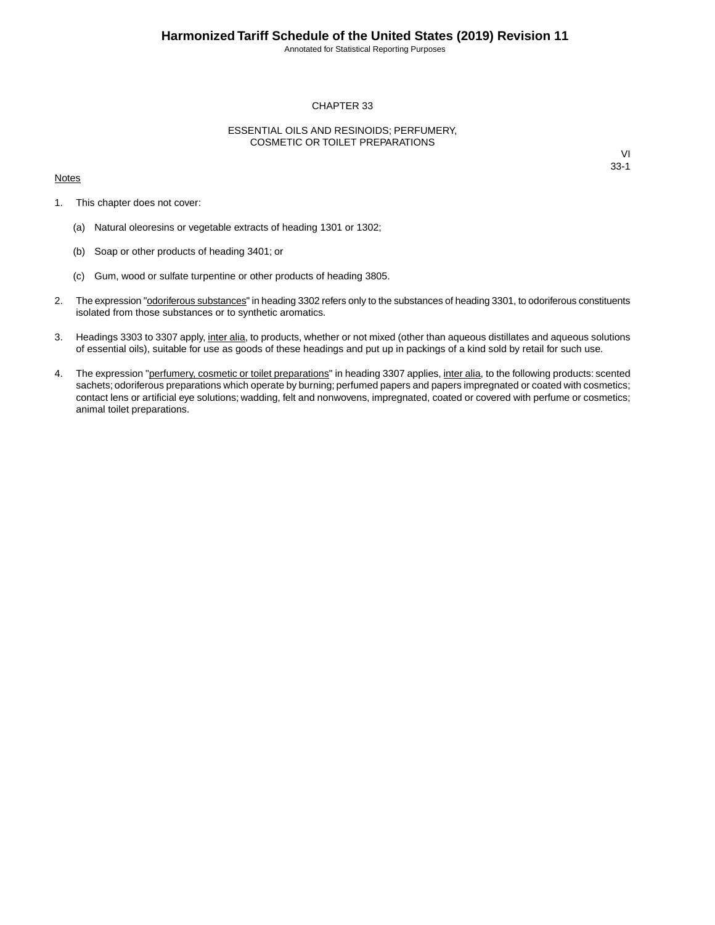Annotated for Statistical Reporting Purposes

### CHAPTER 33

### ESSENTIAL OILS AND RESINOIDS; PERFUMERY, COSMETIC OR TOILET PREPARATIONS

#### **Notes**

- 1. This chapter does not cover:
	- (a) Natural oleoresins or vegetable extracts of heading 1301 or 1302;
	- (b) Soap or other products of heading 3401; or
	- (c) Gum, wood or sulfate turpentine or other products of heading 3805.
- 2. The expression "odoriferous substances" in heading 3302 refers only to the substances of heading 3301, to odoriferous constituents isolated from those substances or to synthetic aromatics.
- 3. Headings 3303 to 3307 apply, inter alia, to products, whether or not mixed (other than aqueous distillates and aqueous solutions of essential oils), suitable for use as goods of these headings and put up in packings of a kind sold by retail for such use.
- 4. The expression "perfumery, cosmetic or toilet preparations" in heading 3307 applies, inter alia, to the following products: scented sachets; odoriferous preparations which operate by burning; perfumed papers and papers impregnated or coated with cosmetics; contact lens or artificial eye solutions; wadding, felt and nonwovens, impregnated, coated or covered with perfume or cosmetics; animal toilet preparations.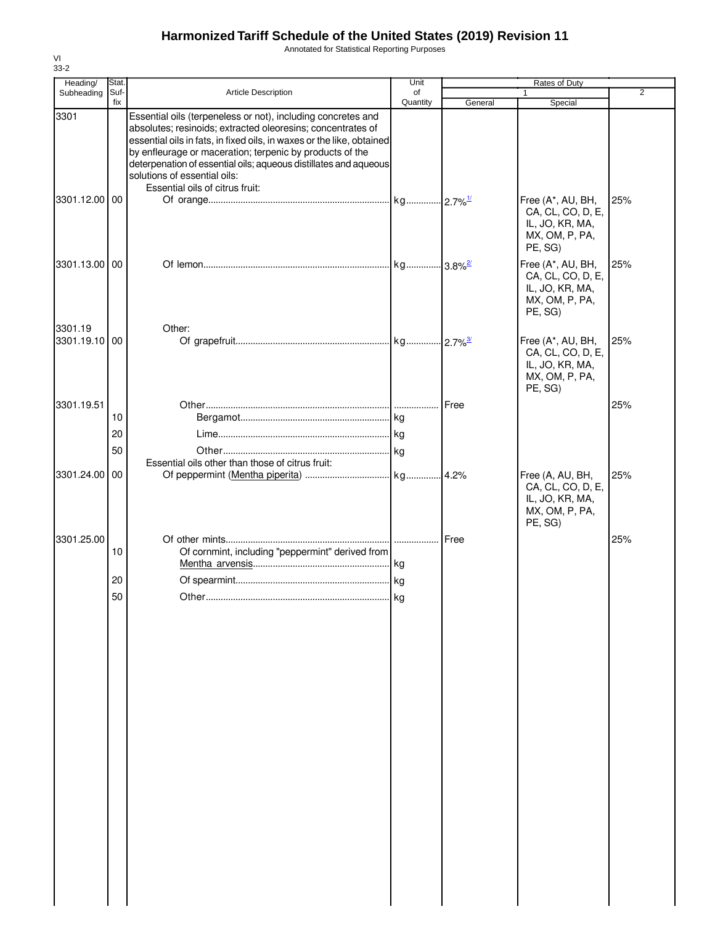Annotated for Statistical Reporting Purposes

| Heading/<br>Subheading   | Stat.<br>Suf- | Article Description                                                                                                                                                                                                                                                                                                                                                                                     | Unit<br>of |         | Rates of Duty                                                                          | $\overline{2}$ |
|--------------------------|---------------|---------------------------------------------------------------------------------------------------------------------------------------------------------------------------------------------------------------------------------------------------------------------------------------------------------------------------------------------------------------------------------------------------------|------------|---------|----------------------------------------------------------------------------------------|----------------|
|                          | fix           |                                                                                                                                                                                                                                                                                                                                                                                                         | Quantity   | General | Special                                                                                |                |
| 3301                     |               | Essential oils (terpeneless or not), including concretes and<br>absolutes; resinoids; extracted oleoresins; concentrates of<br>essential oils in fats, in fixed oils, in waxes or the like, obtained<br>by enfleurage or maceration; terpenic by products of the<br>deterpenation of essential oils; aqueous distillates and aqueous<br>solutions of essential oils:<br>Essential oils of citrus fruit: |            |         |                                                                                        |                |
| 3301.12.00 00            |               |                                                                                                                                                                                                                                                                                                                                                                                                         |            |         | Free (A*, AU, BH,<br>CA, CL, CO, D, E,<br>IL, JO, KR, MA,<br>MX, OM, P, PA,<br>PE, SG) | 25%            |
| 3301.13.00 00            |               |                                                                                                                                                                                                                                                                                                                                                                                                         |            |         | Free (A*, AU, BH,<br>CA, CL, CO, D, E,<br>IL, JO, KR, MA,<br>MX, OM, P, PA,<br>PE, SG) | 25%            |
| 3301.19<br>3301.19.10 00 |               | Other:                                                                                                                                                                                                                                                                                                                                                                                                  |            |         | Free (A*, AU, BH,<br>CA, CL, CO, D, E,<br>IL, JO, KR, MA,<br>MX, OM, P, PA,<br>PE, SG) | 25%            |
| 3301.19.51               |               |                                                                                                                                                                                                                                                                                                                                                                                                         |            |         |                                                                                        | 25%            |
|                          | 10            |                                                                                                                                                                                                                                                                                                                                                                                                         |            |         |                                                                                        |                |
|                          | 20            |                                                                                                                                                                                                                                                                                                                                                                                                         |            |         |                                                                                        |                |
|                          | 50            |                                                                                                                                                                                                                                                                                                                                                                                                         |            |         |                                                                                        |                |
|                          |               | Essential oils other than those of citrus fruit:                                                                                                                                                                                                                                                                                                                                                        |            |         |                                                                                        |                |
| 3301.24.00 00            |               |                                                                                                                                                                                                                                                                                                                                                                                                         |            |         | Free (A, AU, BH,<br>CA, CL, CO, D, E,<br>IL, JO, KR, MA,<br>MX, OM, P, PA,<br>PE, SG)  | 25%            |
| 3301.25.00               | 10            | Of cornmint, including "peppermint" derived from                                                                                                                                                                                                                                                                                                                                                        | .          | Free    |                                                                                        | 25%            |
|                          | 20            |                                                                                                                                                                                                                                                                                                                                                                                                         |            |         |                                                                                        |                |
|                          |               |                                                                                                                                                                                                                                                                                                                                                                                                         |            |         |                                                                                        |                |
|                          | 50            |                                                                                                                                                                                                                                                                                                                                                                                                         | . I Kg     |         |                                                                                        |                |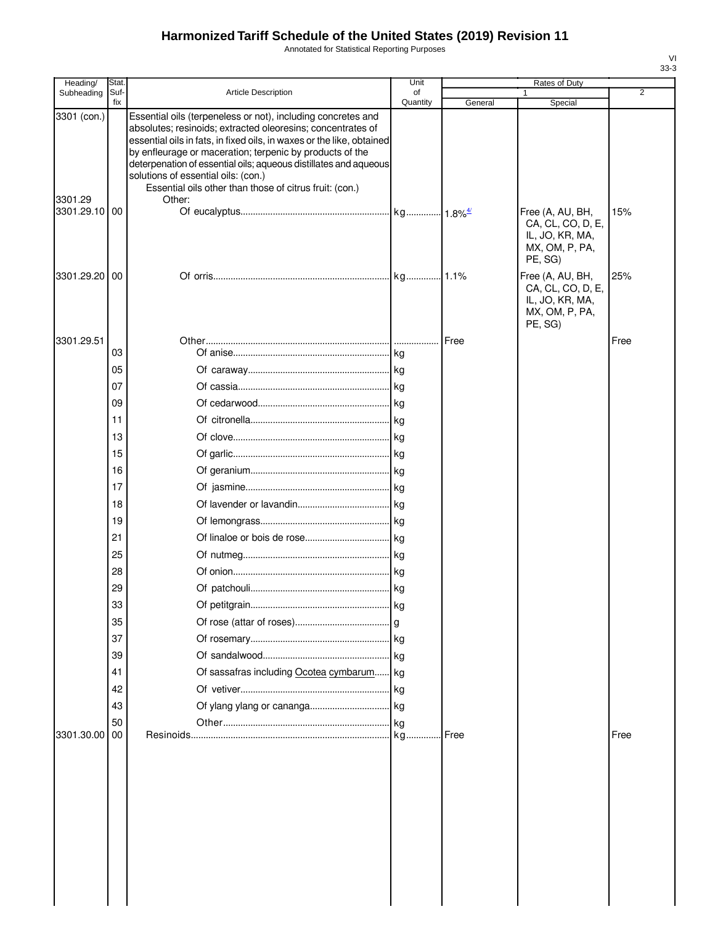Annotated for Statistical Reporting Purposes

| Heading/              | Stat.       |                                                                                                                                                                                                                                                                                                                                                                             | Unit           |         | Rates of Duty                                                                         |                |
|-----------------------|-------------|-----------------------------------------------------------------------------------------------------------------------------------------------------------------------------------------------------------------------------------------------------------------------------------------------------------------------------------------------------------------------------|----------------|---------|---------------------------------------------------------------------------------------|----------------|
| Subheading            | Suf-<br>fix | <b>Article Description</b>                                                                                                                                                                                                                                                                                                                                                  | οf<br>Quantity | General | 1<br>Special                                                                          | $\overline{2}$ |
| 3301 (con.)           |             | Essential oils (terpeneless or not), including concretes and<br>absolutes; resinoids; extracted oleoresins; concentrates of<br>essential oils in fats, in fixed oils, in waxes or the like, obtained<br>by enfleurage or maceration; terpenic by products of the<br>deterpenation of essential oils; aqueous distillates and aqueous<br>solutions of essential oils: (con.) |                |         |                                                                                       |                |
| 3301.29<br>3301.29.10 | 00          | Essential oils other than those of citrus fruit: (con.)<br>Other:                                                                                                                                                                                                                                                                                                           |                |         | Free (A, AU, BH,<br>CA, CL, CO, D, E,<br>IL, JO, KR, MA,<br>MX, OM, P, PA,<br>PE, SG) | 15%            |
| 3301.29.20 00         |             |                                                                                                                                                                                                                                                                                                                                                                             |                |         | Free (A, AU, BH,<br>CA, CL, CO, D, E,<br>IL, JO, KR, MA,<br>MX, OM, P, PA,<br>PE, SG) | 25%            |
| 3301.29.51            |             |                                                                                                                                                                                                                                                                                                                                                                             |                | Free    |                                                                                       | Free           |
|                       | 03          |                                                                                                                                                                                                                                                                                                                                                                             |                |         |                                                                                       |                |
|                       | 05          |                                                                                                                                                                                                                                                                                                                                                                             |                |         |                                                                                       |                |
|                       | 07          |                                                                                                                                                                                                                                                                                                                                                                             |                |         |                                                                                       |                |
|                       | 09          |                                                                                                                                                                                                                                                                                                                                                                             |                |         |                                                                                       |                |
|                       | 11          |                                                                                                                                                                                                                                                                                                                                                                             |                |         |                                                                                       |                |
|                       | 13          |                                                                                                                                                                                                                                                                                                                                                                             |                |         |                                                                                       |                |
|                       | 15          |                                                                                                                                                                                                                                                                                                                                                                             |                |         |                                                                                       |                |
|                       | 16          |                                                                                                                                                                                                                                                                                                                                                                             |                |         |                                                                                       |                |
|                       | 17          |                                                                                                                                                                                                                                                                                                                                                                             |                |         |                                                                                       |                |
|                       | 18          |                                                                                                                                                                                                                                                                                                                                                                             |                |         |                                                                                       |                |
|                       | 19          |                                                                                                                                                                                                                                                                                                                                                                             |                |         |                                                                                       |                |
|                       | 21          |                                                                                                                                                                                                                                                                                                                                                                             |                |         |                                                                                       |                |
|                       | 25          |                                                                                                                                                                                                                                                                                                                                                                             |                |         |                                                                                       |                |
|                       | 28          |                                                                                                                                                                                                                                                                                                                                                                             |                |         |                                                                                       |                |
|                       | 29          |                                                                                                                                                                                                                                                                                                                                                                             |                |         |                                                                                       |                |
|                       | 33          |                                                                                                                                                                                                                                                                                                                                                                             |                |         |                                                                                       |                |
|                       | 35          |                                                                                                                                                                                                                                                                                                                                                                             |                |         |                                                                                       |                |
|                       | 37          |                                                                                                                                                                                                                                                                                                                                                                             |                |         |                                                                                       |                |
|                       | 39          |                                                                                                                                                                                                                                                                                                                                                                             | kg             |         |                                                                                       |                |
|                       | 41          | Of sassafras including Ocotea cymbarum kg                                                                                                                                                                                                                                                                                                                                   |                |         |                                                                                       |                |
|                       | 42          |                                                                                                                                                                                                                                                                                                                                                                             |                |         |                                                                                       |                |
|                       | 43          |                                                                                                                                                                                                                                                                                                                                                                             |                |         |                                                                                       |                |
|                       | 50          |                                                                                                                                                                                                                                                                                                                                                                             |                |         |                                                                                       |                |
| 3301.30.00            | 00          |                                                                                                                                                                                                                                                                                                                                                                             |                | Free    |                                                                                       | Free           |
|                       |             |                                                                                                                                                                                                                                                                                                                                                                             |                |         |                                                                                       |                |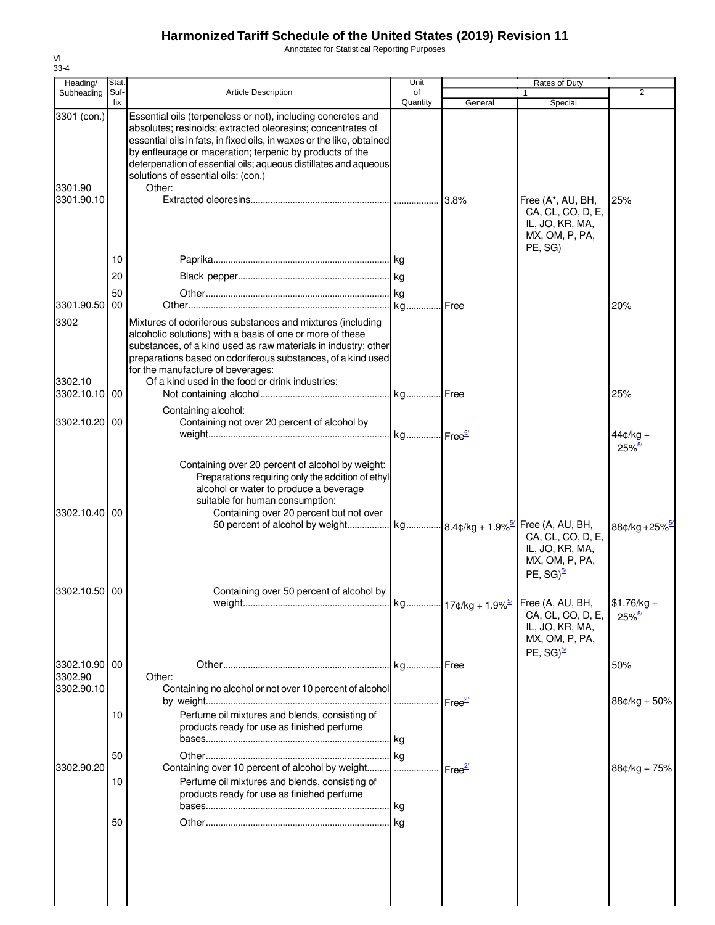Annotated for Statistical Reporting Purposes

| Heading/                             | Stat.       |                                                                                                                                                                                                                                                                                                                                                                                       | Unit           |                    | Rates of Duty                                                                                 |                                      |
|--------------------------------------|-------------|---------------------------------------------------------------------------------------------------------------------------------------------------------------------------------------------------------------------------------------------------------------------------------------------------------------------------------------------------------------------------------------|----------------|--------------------|-----------------------------------------------------------------------------------------------|--------------------------------------|
| Subheading                           | Suf-<br>fix | <b>Article Description</b>                                                                                                                                                                                                                                                                                                                                                            | of<br>Quantity | General            | $\mathbf{1}$<br>Special                                                                       | $\overline{2}$                       |
| 3301 (con.)<br>3301.90<br>3301.90.10 |             | Essential oils (terpeneless or not), including concretes and<br>absolutes; resinoids; extracted oleoresins; concentrates of<br>essential oils in fats, in fixed oils, in waxes or the like, obtained<br>by enfleurage or maceration; terpenic by products of the<br>deterpenation of essential oils; aqueous distillates and aqueous<br>solutions of essential oils: (con.)<br>Other: |                | 13.8%              | Free (A*, AU, BH,                                                                             | 25%                                  |
|                                      |             |                                                                                                                                                                                                                                                                                                                                                                                       |                |                    | CA, CL, CO, D, E,<br>IL, JO, KR, MA,<br>MX, OM, P, PA,<br>PE, SG)                             |                                      |
|                                      | 10          |                                                                                                                                                                                                                                                                                                                                                                                       |                |                    |                                                                                               |                                      |
|                                      | 20          |                                                                                                                                                                                                                                                                                                                                                                                       |                |                    |                                                                                               |                                      |
| 3301.90.50                           | 50<br>00    |                                                                                                                                                                                                                                                                                                                                                                                       |                |                    |                                                                                               | 20%                                  |
| 3302<br>3302.10                      |             | Mixtures of odoriferous substances and mixtures (including<br>alcoholic solutions) with a basis of one or more of these<br>substances, of a kind used as raw materials in industry; other<br>preparations based on odoriferous substances, of a kind used<br>for the manufacture of beverages:<br>Of a kind used in the food or drink industries:                                     |                |                    |                                                                                               |                                      |
| 3302.10.10 00                        |             |                                                                                                                                                                                                                                                                                                                                                                                       |                |                    |                                                                                               | 25%                                  |
| 3302.10.20 00                        |             | Containing alcohol:<br>Containing not over 20 percent of alcohol by                                                                                                                                                                                                                                                                                                                   |                |                    |                                                                                               |                                      |
|                                      |             |                                                                                                                                                                                                                                                                                                                                                                                       |                |                    |                                                                                               | $44¢/kg +$<br>$25\%$ <sup>5/</sup>   |
| 3302.10.40                           | 00          | Containing over 20 percent of alcohol by weight:<br>Preparations requiring only the addition of ethyl<br>alcohol or water to produce a beverage<br>suitable for human consumption:<br>Containing over 20 percent but not over<br>50 percent of alcohol by weight kg 8.4¢/kg + 1.9% <sup>5/</sup> Free (A, AU, BH,                                                                     |                |                    | CA, CL, CO, D, E,<br>IL, JO, KR, MA,<br>MX, OM, P, PA,<br>PE, $SG)^{\frac{5}{2}}$             | 88¢/kg +25%                          |
| 3302.10.50 00                        |             | Containing over 50 percent of alcohol by                                                                                                                                                                                                                                                                                                                                              |                |                    | Free (A, AU, BH,<br>CA, CL, CO, D, E,<br>IL, JO, KR, MA,<br>MX, OM, P, PA,<br>PE, $SG)^{5/2}$ | $$1.76/kg +$<br>$25\%$ <sup>5/</sup> |
| 3302.10.90 00                        |             |                                                                                                                                                                                                                                                                                                                                                                                       |                |                    |                                                                                               | 50%                                  |
| 3302.90<br>3302.90.10                |             | Other:<br>Containing no alcohol or not over 10 percent of alcohol                                                                                                                                                                                                                                                                                                                     |                |                    |                                                                                               | $88¢/kg + 50%$                       |
|                                      | 10          | Perfume oil mixtures and blends, consisting of<br>products ready for use as finished perfume                                                                                                                                                                                                                                                                                          | kg             |                    |                                                                                               |                                      |
|                                      | 50          |                                                                                                                                                                                                                                                                                                                                                                                       | kg             |                    |                                                                                               |                                      |
| 3302.90.20                           | 10          | Containing over 10 percent of alcohol by weight<br>Perfume oil mixtures and blends, consisting of<br>products ready for use as finished perfume                                                                                                                                                                                                                                       | .              | Free <sup>27</sup> |                                                                                               | $88¢/kg + 75%$                       |
|                                      | 50          |                                                                                                                                                                                                                                                                                                                                                                                       |                |                    |                                                                                               |                                      |
|                                      |             |                                                                                                                                                                                                                                                                                                                                                                                       |                |                    |                                                                                               |                                      |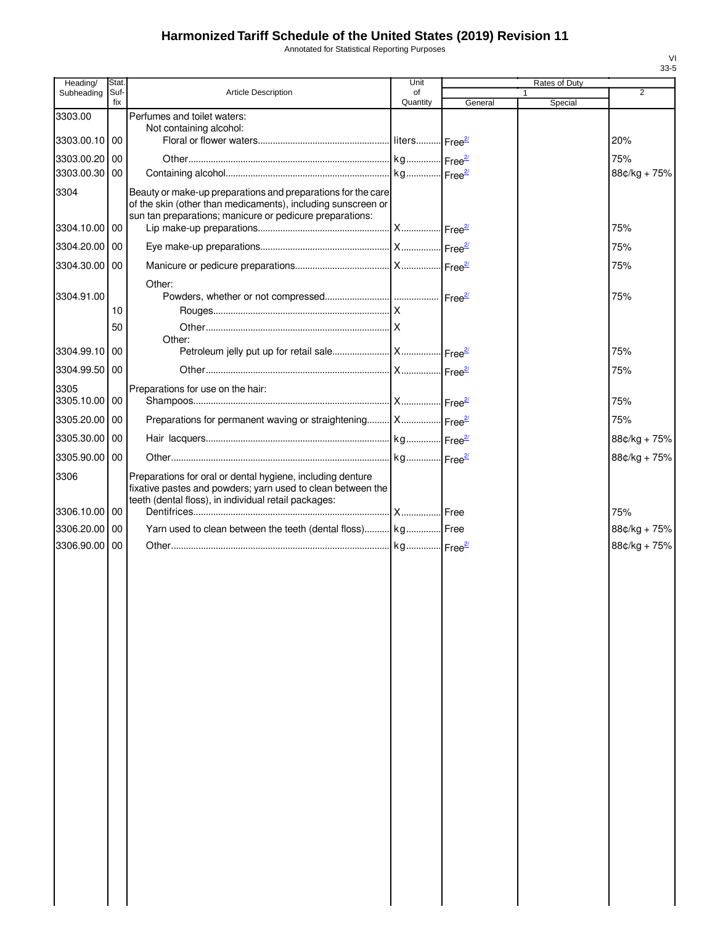Annotated for Statistical Reporting Purposes

| Heading/                    | Stat.       |                                                                                                                                                                                          | Unit           |         | Rates of Duty           |                     |
|-----------------------------|-------------|------------------------------------------------------------------------------------------------------------------------------------------------------------------------------------------|----------------|---------|-------------------------|---------------------|
| Subheading                  | Suf-<br>fix | <b>Article Description</b>                                                                                                                                                               | of<br>Quantity | General | $\mathbf{1}$<br>Special | 2                   |
| 3303.00                     |             | Perfumes and toilet waters:                                                                                                                                                              |                |         |                         |                     |
| 3303.00.10 00               |             | Not containing alcohol:                                                                                                                                                                  |                |         |                         | 20%                 |
|                             |             |                                                                                                                                                                                          |                |         |                         |                     |
| 3303.00.20 00<br>3303.00.30 | 00          |                                                                                                                                                                                          |                |         |                         | 75%<br>88¢/kg + 75% |
|                             |             |                                                                                                                                                                                          |                |         |                         |                     |
| 3304                        |             | Beauty or make-up preparations and preparations for the care<br>of the skin (other than medicaments), including sunscreen or<br>sun tan preparations; manicure or pedicure preparations: |                |         |                         |                     |
| 3304.10.00 00               |             |                                                                                                                                                                                          |                |         |                         | 75%                 |
| 3304.20.00 00               |             |                                                                                                                                                                                          |                |         |                         | 75%                 |
| 3304.30.00 00               |             |                                                                                                                                                                                          |                |         |                         | 75%                 |
| 3304.91.00                  |             | Other:                                                                                                                                                                                   |                |         |                         | 75%                 |
|                             | 10          |                                                                                                                                                                                          |                |         |                         |                     |
|                             | 50          |                                                                                                                                                                                          |                |         |                         |                     |
| 3304.99.10 00               |             | Other:                                                                                                                                                                                   |                |         |                         | 75%                 |
|                             |             |                                                                                                                                                                                          |                |         |                         |                     |
| 3304.99.50 00               |             |                                                                                                                                                                                          |                |         |                         | 75%                 |
| 3305<br>3305.10.00 00       |             | Preparations for use on the hair:                                                                                                                                                        |                |         |                         | 75%                 |
| 3305.20.00 00               |             | Preparations for permanent waving or straightening   X   Free <sup>27</sup>                                                                                                              |                |         |                         | 75%                 |
| 3305.30.00 00               |             |                                                                                                                                                                                          |                |         |                         | 88¢/kg + 75%        |
| 3305.90.00 00               |             |                                                                                                                                                                                          |                |         |                         | 88¢/kg + 75%        |
| 3306                        |             | Preparations for oral or dental hygiene, including denture<br>fixative pastes and powders; yarn used to clean between the<br>teeth (dental floss), in individual retail packages:        |                |         |                         |                     |
| 3306.10.00 00               |             |                                                                                                                                                                                          |                |         |                         | 75%                 |
| 3306.20.00 00               |             | Yarn used to clean between the teeth (dental floss) kg Free                                                                                                                              |                |         |                         | 88¢/kg + 75%        |
| 3306.90.00 00               |             |                                                                                                                                                                                          |                |         |                         | 88¢/kg + 75%        |
|                             |             |                                                                                                                                                                                          |                |         |                         |                     |
|                             |             |                                                                                                                                                                                          |                |         |                         |                     |
|                             |             |                                                                                                                                                                                          |                |         |                         |                     |
|                             |             |                                                                                                                                                                                          |                |         |                         |                     |
|                             |             |                                                                                                                                                                                          |                |         |                         |                     |
|                             |             |                                                                                                                                                                                          |                |         |                         |                     |
|                             |             |                                                                                                                                                                                          |                |         |                         |                     |
|                             |             |                                                                                                                                                                                          |                |         |                         |                     |
|                             |             |                                                                                                                                                                                          |                |         |                         |                     |
|                             |             |                                                                                                                                                                                          |                |         |                         |                     |
|                             |             |                                                                                                                                                                                          |                |         |                         |                     |
|                             |             |                                                                                                                                                                                          |                |         |                         |                     |
|                             |             |                                                                                                                                                                                          |                |         |                         |                     |
|                             |             |                                                                                                                                                                                          |                |         |                         |                     |
|                             |             |                                                                                                                                                                                          |                |         |                         |                     |
|                             |             |                                                                                                                                                                                          |                |         |                         |                     |
|                             |             |                                                                                                                                                                                          |                |         |                         |                     |
|                             |             |                                                                                                                                                                                          |                |         |                         |                     |
|                             |             |                                                                                                                                                                                          |                |         |                         |                     |
|                             |             |                                                                                                                                                                                          |                |         |                         |                     |
|                             |             |                                                                                                                                                                                          |                |         |                         |                     |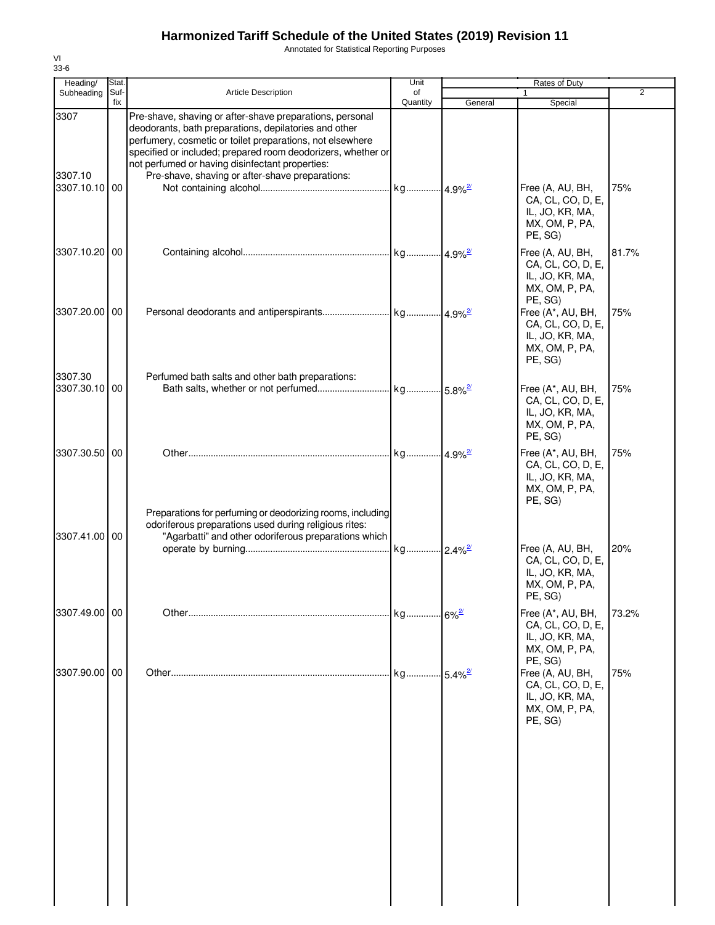Annotated for Statistical Reporting Purposes

| Heading/              | Stat.       |                                                                                                                                                                                                                                                                                                                                                      | Unit                  | Rates of Duty |                                                                                        |                |  |
|-----------------------|-------------|------------------------------------------------------------------------------------------------------------------------------------------------------------------------------------------------------------------------------------------------------------------------------------------------------------------------------------------------------|-----------------------|---------------|----------------------------------------------------------------------------------------|----------------|--|
| Subheading            | Suf-<br>fix | <b>Article Description</b>                                                                                                                                                                                                                                                                                                                           | of<br>Quantity        | General       | 1<br>Special                                                                           | $\overline{2}$ |  |
| 3307<br>3307.10       |             | Pre-shave, shaving or after-shave preparations, personal<br>deodorants, bath preparations, depilatories and other<br>perfumery, cosmetic or toilet preparations, not elsewhere<br>specified or included; prepared room deodorizers, whether or<br>not perfumed or having disinfectant properties:<br>Pre-shave, shaving or after-shave preparations: |                       |               |                                                                                        |                |  |
| 3307.10.10 00         |             |                                                                                                                                                                                                                                                                                                                                                      |                       |               | Free (A, AU, BH,<br>CA, CL, CO, D, E,<br>IL, JO, KR, MA,<br>MX, OM, P, PA,<br>PE, SG)  | 75%            |  |
| 3307.10.20 00         |             |                                                                                                                                                                                                                                                                                                                                                      |                       |               | Free (A, AU, BH,<br>CA, CL, CO, D, E,<br>IL, JO, KR, MA,<br>MX, OM, P, PA,<br>PE, SG)  | 81.7%          |  |
| 3307.20.00 00         |             |                                                                                                                                                                                                                                                                                                                                                      |                       |               | Free (A*, AU, BH,<br>CA, CL, CO, D, E,<br>IL, JO, KR, MA,<br>MX, OM, P, PA,<br>PE, SG) | 75%            |  |
| 3307.30<br>3307.30.10 | 00          | Perfumed bath salts and other bath preparations:                                                                                                                                                                                                                                                                                                     |                       |               | Free (A*, AU, BH,<br>CA, CL, CO, D, E,<br>IL, JO, KR, MA,<br>MX, OM, P, PA,<br>PE, SG) | 75%            |  |
| 3307.30.50 00         |             | Preparations for perfuming or deodorizing rooms, including                                                                                                                                                                                                                                                                                           |                       |               | Free (A*, AU, BH,<br>CA, CL, CO, D, E,<br>IL, JO, KR, MA,<br>MX, OM, P, PA,<br>PE, SG) | 75%            |  |
| 3307.41.00 00         |             | odoriferous preparations used during religious rites:<br>"Agarbatti" and other odoriferous preparations which                                                                                                                                                                                                                                        |                       |               | Free (A, AU, BH,<br>CA, CL, CO, D, E,<br>IL, JO, KR, MA,<br>MX, OM, P, PA,<br>PE, SG)  | 20%            |  |
| 3307.49.00 00         |             |                                                                                                                                                                                                                                                                                                                                                      | . kg 6%2              |               | Free (A*, AU, BH,<br>CA, CL, CO, D, E,<br>IL, JO, KR, MA,<br>MX, OM, P, PA,<br>PE, SG) | 73.2%          |  |
| 3307.90.00 00         |             |                                                                                                                                                                                                                                                                                                                                                      | kg 5.4% <sup>2/</sup> |               | Free (A, AU, BH,<br>CA, CL, CO, D, E,<br>IL, JO, KR, MA,<br>MX, OM, P, PA,<br>PE, SG)  | 75%            |  |